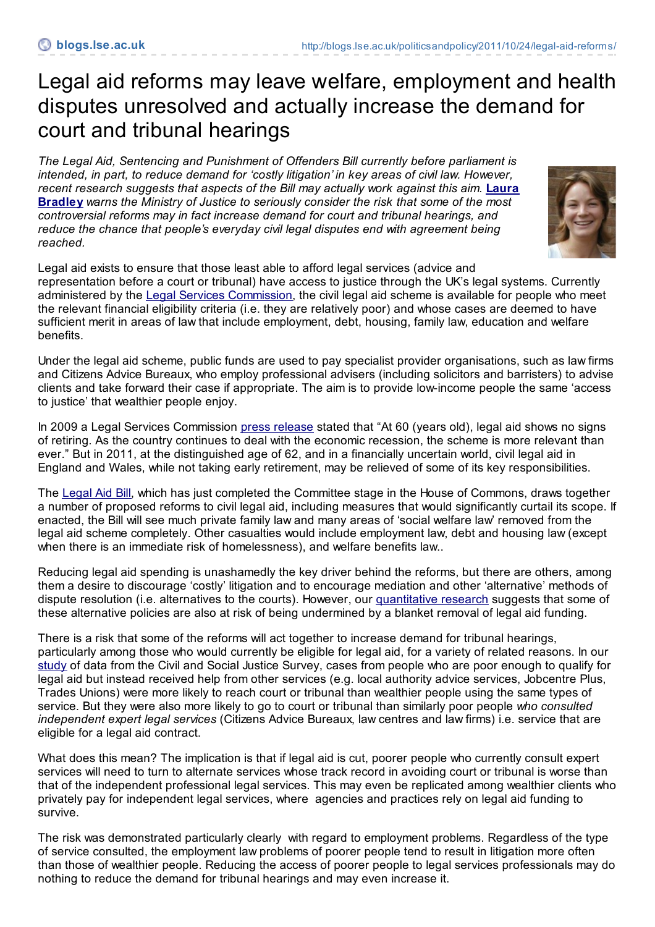## Legal aid reforms may leave welfare, employment and health disputes unresolved and actually increase the demand for court and tribunal hearings

*The Legal Aid, Sentencing and Punishment of Offenders Bill currently before parliament is intended, in part, to reduce demand for 'costly litigation' in key areas of civil law. However, recent research [suggests](http://blogs.lse.ac.uk/politicsandpolicy/contributors/#Laura_Bradley) that aspects of the Bill may actually work against this aim.* **Laura Bradley** *warns the Ministry of Justice to seriously consider the risk that some of the most controversial reforms may in fact increase demand for court and tribunal hearings, and reduce the chance that people's everyday civil legal disputes end with agreement being reached.*



Legal aid exists to ensure that those least able to afford legal services (advice and representation before a court or tribunal) have access to justice through the UK's legal systems. Currently administered by the Legal Services [Commission](http://www.legalservices.gov.uk/), the civil legal aid scheme is available for people who meet

the relevant financial eligibility criteria (i.e. they are relatively poor) and whose cases are deemed to have sufficient merit in areas of law that include employment, debt, housing, family law, education and welfare benefits.

Under the legal aid scheme, public funds are used to pay specialist provider organisations, such as law firms and Citizens Advice Bureaux, who employ professional advisers (including solicitors and barristers) to advise clients and take forward their case if appropriate. The aim is to provide low-income people the same 'access to justice' that wealthier people enjoy.

In 2009 a Legal Services Commission press [release](http://www.legalservices.gov.uk/criminal/cds_news_10032.asp) stated that "At 60 (years old), legal aid shows no signs of retiring. As the country continues to deal with the economic recession, the scheme is more relevant than ever." But in 2011, at the distinguished age of 62, and in a financially uncertain world, civil legal aid in England and Wales, while not taking early retirement, may be relieved of some of its key responsibilities.

The [Legal](http://services.parliament.uk/bills/2010-11/legalaidsentencingandpunishmentofoffenders.html) Aid Bill, which has just completed the Committee stage in the House of Commons, draws together a number of proposed reforms to civil legal aid, including measures that would significantly curtail its scope. If enacted, the Bill will see much private family law and many areas of 'social welfare law' removed from the legal aid scheme completely. Other casualties would include employment law, debt and housing law (except when there is an immediate risk of homelessness), and welfare benefits law..

Reducing legal aid spending is unashamedly the key driver behind the reforms, but there are others, among them a desire to discourage 'costly' litigation and to encourage mediation and other 'alternative' methods of dispute resolution (i.e. alternatives to the courts). However, our [quantitative](http://www.strategicsociety.org.uk/book/cutting-legal-aid-advice-sources-and-outcomes-civil-justice.html) research suggests that some of these alternative policies are also at risk of being undermined by a blanket removal of legal aid funding.

There is a risk that some of the reforms will act together to increase demand for tribunal hearings, particularly among those who would currently be eligible for legal aid, for a variety of related reasons. In our [study](http://haec-clients-public.s3.amazonaws.com/ssc/pdf/2011/04/15/Cutting_Legal_Aid_-_Advice_sources_and_outcomes_in_civil_justice.pdf) of data from the Civil and Social Justice Survey, cases from people who are poor enough to qualify for legal aid but instead received help from other services (e.g. local authority advice services, Jobcentre Plus, Trades Unions) were more likely to reach court or tribunal than wealthier people using the same types of service. But they were also more likely to go to court or tribunal than similarly poor people *who consulted independent expert legal services* (Citizens Advice Bureaux, law centres and law firms) i.e. service that are eligible for a legal aid contract.

What does this mean? The implication is that if legal aid is cut, poorer people who currently consult expert services will need to turn to alternate services whose track record in avoiding court or tribunal is worse than that of the independent professional legal services. This may even be replicated among wealthier clients who privately pay for independent legal services, where agencies and practices rely on legal aid funding to survive.

The risk was demonstrated particularly clearly with regard to employment problems. Regardless of the type of service consulted, the employment law problems of poorer people tend to result in litigation more often than those of wealthier people. Reducing the access of poorer people to legal services professionals may do nothing to reduce the demand for tribunal hearings and may even increase it.